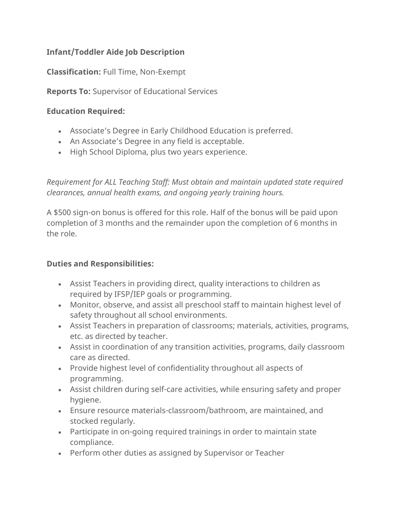# **Infant/Toddler Aide Job Description**

**Classification:** Full Time, Non-Exempt

**Reports To:** Supervisor of Educational Services

#### **Education Required:**

- Associate's Degree in Early Childhood Education is preferred.
- An Associate's Degree in any field is acceptable.
- High School Diploma, plus two years experience.

*Requirement for ALL Teaching Staff: Must obtain and maintain updated state required clearances, annual health exams, and ongoing yearly training hours.*

A \$500 sign-on bonus is offered for this role. Half of the bonus will be paid upon completion of 3 months and the remainder upon the completion of 6 months in the role.

## **Duties and Responsibilities:**

- Assist Teachers in providing direct, quality interactions to children as required by IFSP/IEP goals or programming.
- Monitor, observe, and assist all preschool staff to maintain highest level of safety throughout all school environments.
- Assist Teachers in preparation of classrooms; materials, activities, programs, etc. as directed by teacher.
- Assist in coordination of any transition activities, programs, daily classroom care as directed.
- Provide highest level of confidentiality throughout all aspects of programming.
- Assist children during self-care activities, while ensuring safety and proper hygiene.
- Ensure resource materials-classroom/bathroom, are maintained, and stocked regularly.
- Participate in on-going required trainings in order to maintain state compliance.
- Perform other duties as assigned by Supervisor or Teacher